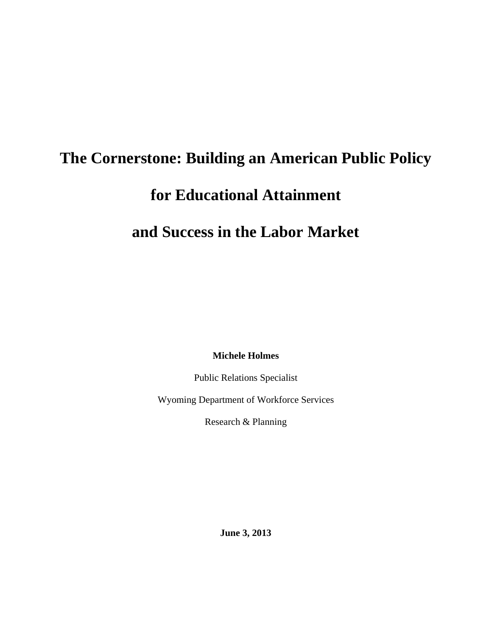# **The Cornerstone: Building an American Public Policy**

## **for Educational Attainment**

### **and Success in the Labor Market**

**Michele Holmes** 

Public Relations Specialist

Wyoming Department of Workforce Services

Research & Planning

**June 3, 2013**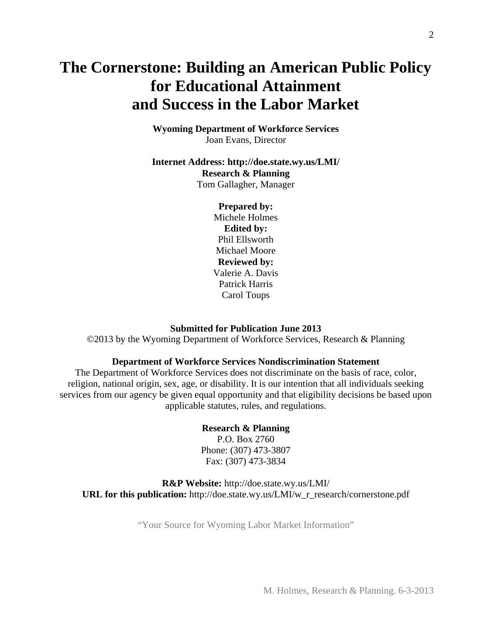### **The Cornerstone: Building an American Public Policy for Educational Attainment and Success in the Labor Market**

**Wyoming Department of Workforce Services**  Joan Evans, Director

**Internet Address: http://doe.state.wy.us/LMI/ Research & Planning**  Tom Gallagher, Manager

> **Prepared by:**  Michele Holmes **Edited by:**  Phil Ellsworth Michael Moore **Reviewed by:**  Valerie A. Davis Patrick Harris Carol Toups

#### **Submitted for Publication June 2013**

©2013 by the Wyoming Department of Workforce Services, Research & Planning

#### **Department of Workforce Services Nondiscrimination Statement**

The Department of Workforce Services does not discriminate on the basis of race, color, religion, national origin, sex, age, or disability. It is our intention that all individuals seeking services from our agency be given equal opportunity and that eligibility decisions be based upon applicable statutes, rules, and regulations.

#### **Research & Planning**

P.O. Box 2760 Phone: (307) 473-3807 Fax: (307) 473-3834

**R&P Website:** http://doe.state.wy.us/LMI/ **URL for this publication:** http://doe.state.wy.us/LMI/w\_r\_research/cornerstone.pdf

"Your Source for Wyoming Labor Market Information"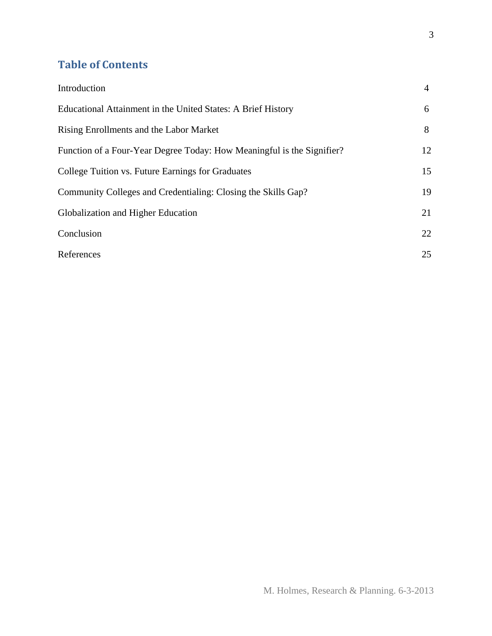### **Table of Contents**

| Introduction                                                           | 4  |
|------------------------------------------------------------------------|----|
| Educational Attainment in the United States: A Brief History           | 6  |
| Rising Enrollments and the Labor Market                                | 8  |
| Function of a Four-Year Degree Today: How Meaningful is the Signifier? | 12 |
| College Tuition vs. Future Earnings for Graduates                      | 15 |
| Community Colleges and Credentialing: Closing the Skills Gap?          | 19 |
| Globalization and Higher Education                                     | 21 |
| Conclusion                                                             | 22 |
| References                                                             | 25 |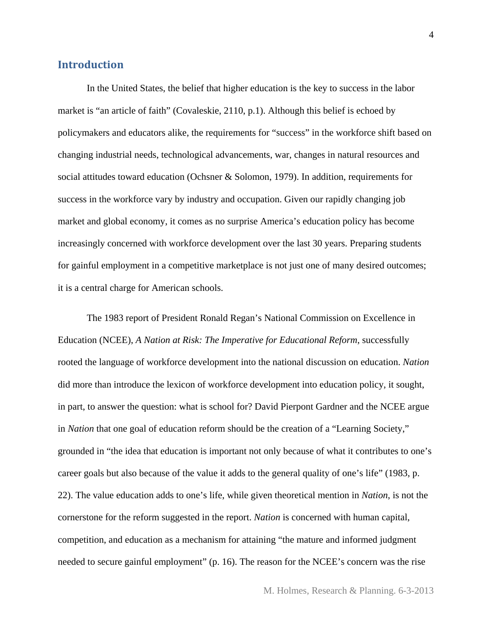#### **Introduction**

In the United States, the belief that higher education is the key to success in the labor market is "an article of faith" (Covaleskie, 2110, p.1). Although this belief is echoed by policymakers and educators alike, the requirements for "success" in the workforce shift based on changing industrial needs, technological advancements, war, changes in natural resources and social attitudes toward education (Ochsner & Solomon, 1979). In addition, requirements for success in the workforce vary by industry and occupation. Given our rapidly changing job market and global economy, it comes as no surprise America's education policy has become increasingly concerned with workforce development over the last 30 years. Preparing students for gainful employment in a competitive marketplace is not just one of many desired outcomes; it is a central charge for American schools.

The 1983 report of President Ronald Regan's National Commission on Excellence in Education (NCEE), *A Nation at Risk: The Imperative for Educational Reform*, successfully rooted the language of workforce development into the national discussion on education. *Nation* did more than introduce the lexicon of workforce development into education policy, it sought, in part, to answer the question: what is school for? David Pierpont Gardner and the NCEE argue in *Nation* that one goal of education reform should be the creation of a "Learning Society," grounded in "the idea that education is important not only because of what it contributes to one's career goals but also because of the value it adds to the general quality of one's life" (1983, p. 22). The value education adds to one's life, while given theoretical mention in *Nation*, is not the cornerstone for the reform suggested in the report. *Nation* is concerned with human capital, competition, and education as a mechanism for attaining "the mature and informed judgment needed to secure gainful employment" (p. 16). The reason for the NCEE's concern was the rise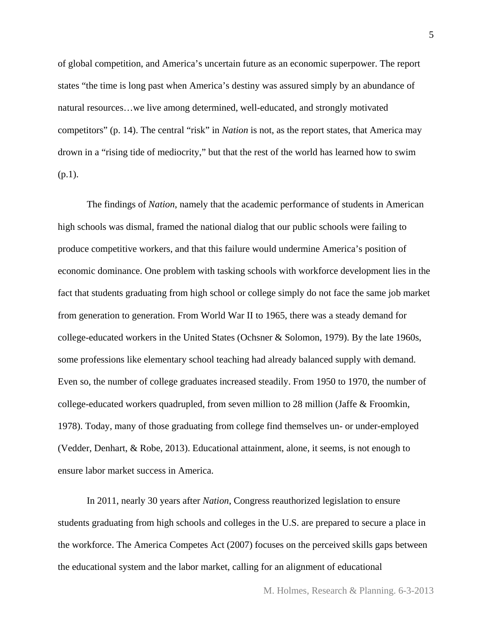of global competition, and America's uncertain future as an economic superpower. The report states "the time is long past when America's destiny was assured simply by an abundance of natural resources…we live among determined, well-educated, and strongly motivated competitors" (p. 14). The central "risk" in *Nation* is not, as the report states, that America may drown in a "rising tide of mediocrity," but that the rest of the world has learned how to swim (p.1).

The findings of *Nation*, namely that the academic performance of students in American high schools was dismal, framed the national dialog that our public schools were failing to produce competitive workers, and that this failure would undermine America's position of economic dominance. One problem with tasking schools with workforce development lies in the fact that students graduating from high school or college simply do not face the same job market from generation to generation. From World War II to 1965, there was a steady demand for college-educated workers in the United States (Ochsner & Solomon, 1979). By the late 1960s, some professions like elementary school teaching had already balanced supply with demand. Even so, the number of college graduates increased steadily. From 1950 to 1970, the number of college-educated workers quadrupled, from seven million to 28 million (Jaffe & Froomkin, 1978). Today, many of those graduating from college find themselves un- or under-employed (Vedder, Denhart, & Robe, 2013). Educational attainment, alone, it seems, is not enough to ensure labor market success in America.

 In 2011, nearly 30 years after *Nation*, Congress reauthorized legislation to ensure students graduating from high schools and colleges in the U.S. are prepared to secure a place in the workforce. The America Competes Act (2007) focuses on the perceived skills gaps between the educational system and the labor market, calling for an alignment of educational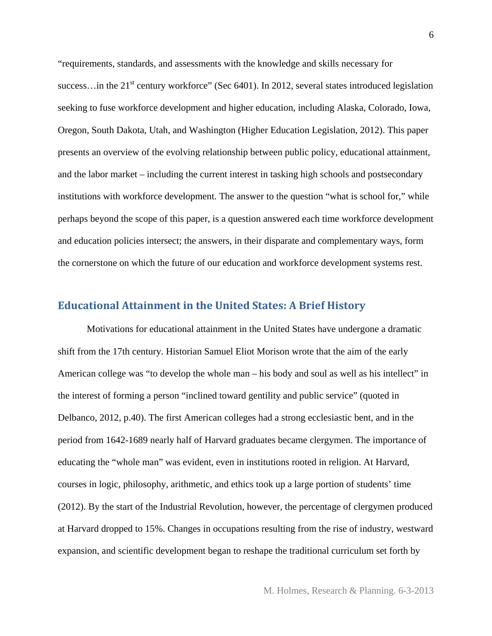"requirements, standards, and assessments with the knowledge and skills necessary for success... in the  $21<sup>st</sup>$  century workforce" (Sec 6401). In 2012, several states introduced legislation seeking to fuse workforce development and higher education, including Alaska, Colorado, Iowa, Oregon, South Dakota, Utah, and Washington (Higher Education Legislation, 2012). This paper presents an overview of the evolving relationship between public policy, educational attainment, and the labor market – including the current interest in tasking high schools and postsecondary institutions with workforce development. The answer to the question "what is school for," while perhaps beyond the scope of this paper, is a question answered each time workforce development and education policies intersect; the answers, in their disparate and complementary ways, form the cornerstone on which the future of our education and workforce development systems rest.

#### **Educational Attainment in the United States: A Brief History**

Motivations for educational attainment in the United States have undergone a dramatic shift from the 17th century. Historian Samuel Eliot Morison wrote that the aim of the early American college was "to develop the whole man – his body and soul as well as his intellect" in the interest of forming a person "inclined toward gentility and public service" (quoted in Delbanco, 2012, p.40). The first American colleges had a strong ecclesiastic bent, and in the period from 1642-1689 nearly half of Harvard graduates became clergymen. The importance of educating the "whole man" was evident, even in institutions rooted in religion. At Harvard, courses in logic, philosophy, arithmetic, and ethics took up a large portion of students' time (2012). By the start of the Industrial Revolution, however, the percentage of clergymen produced at Harvard dropped to 15%. Changes in occupations resulting from the rise of industry, westward expansion, and scientific development began to reshape the traditional curriculum set forth by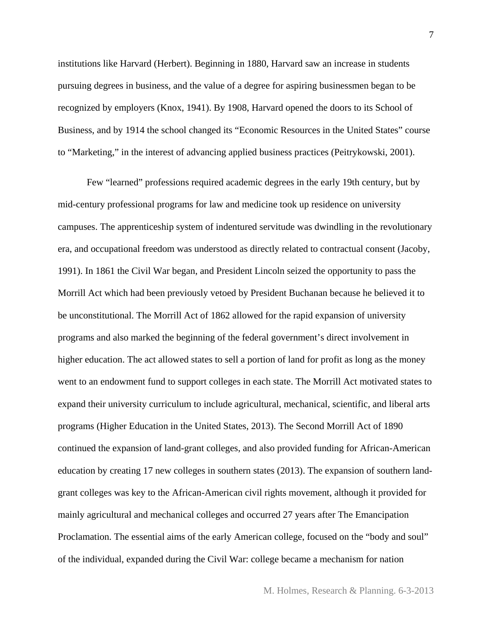institutions like Harvard (Herbert). Beginning in 1880, Harvard saw an increase in students pursuing degrees in business, and the value of a degree for aspiring businessmen began to be recognized by employers (Knox, 1941). By 1908, Harvard opened the doors to its School of Business, and by 1914 the school changed its "Economic Resources in the United States" course to "Marketing," in the interest of advancing applied business practices (Peitrykowski, 2001).

Few "learned" professions required academic degrees in the early 19th century, but by mid-century professional programs for law and medicine took up residence on university campuses. The apprenticeship system of indentured servitude was dwindling in the revolutionary era, and occupational freedom was understood as directly related to contractual consent (Jacoby, 1991). In 1861 the Civil War began, and President Lincoln seized the opportunity to pass the Morrill Act which had been previously vetoed by President Buchanan because he believed it to be unconstitutional. The Morrill Act of 1862 allowed for the rapid expansion of university programs and also marked the beginning of the federal government's direct involvement in higher education. The act allowed states to sell a portion of land for profit as long as the money went to an endowment fund to support colleges in each state. The Morrill Act motivated states to expand their university curriculum to include agricultural, mechanical, scientific, and liberal arts programs (Higher Education in the United States, 2013). The Second Morrill Act of 1890 continued the expansion of land-grant colleges, and also provided funding for African-American education by creating 17 new colleges in southern states (2013). The expansion of southern landgrant colleges was key to the African-American civil rights movement, although it provided for mainly agricultural and mechanical colleges and occurred 27 years after The Emancipation Proclamation. The essential aims of the early American college, focused on the "body and soul" of the individual, expanded during the Civil War: college became a mechanism for nation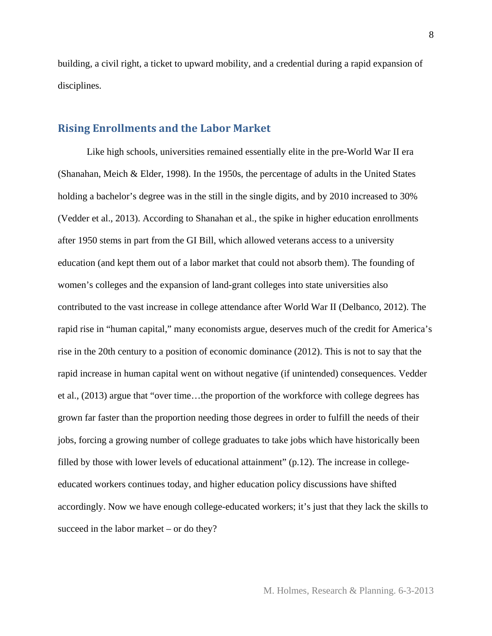building, a civil right, a ticket to upward mobility, and a credential during a rapid expansion of disciplines.

#### **Rising Enrollments and the Labor Market**

Like high schools, universities remained essentially elite in the pre-World War II era (Shanahan, Meich & Elder, 1998). In the 1950s, the percentage of adults in the United States holding a bachelor's degree was in the still in the single digits, and by 2010 increased to 30% (Vedder et al., 2013). According to Shanahan et al., the spike in higher education enrollments after 1950 stems in part from the GI Bill, which allowed veterans access to a university education (and kept them out of a labor market that could not absorb them). The founding of women's colleges and the expansion of land-grant colleges into state universities also contributed to the vast increase in college attendance after World War II (Delbanco, 2012). The rapid rise in "human capital," many economists argue, deserves much of the credit for America's rise in the 20th century to a position of economic dominance (2012). This is not to say that the rapid increase in human capital went on without negative (if unintended) consequences. Vedder et al., (2013) argue that "over time…the proportion of the workforce with college degrees has grown far faster than the proportion needing those degrees in order to fulfill the needs of their jobs, forcing a growing number of college graduates to take jobs which have historically been filled by those with lower levels of educational attainment" (p.12). The increase in collegeeducated workers continues today, and higher education policy discussions have shifted accordingly. Now we have enough college-educated workers; it's just that they lack the skills to succeed in the labor market – or do they?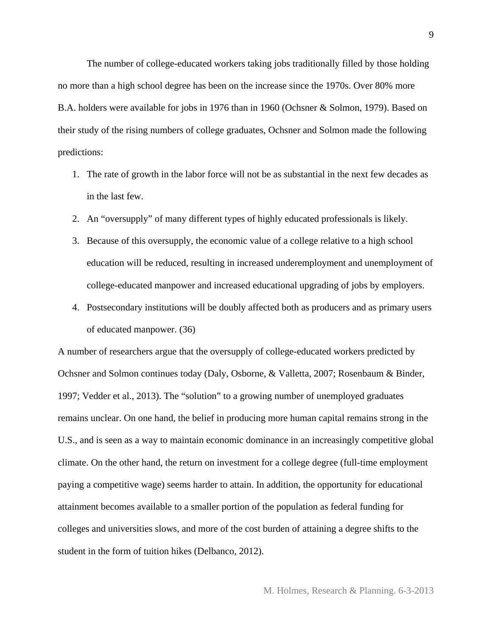The number of college-educated workers taking jobs traditionally filled by those holding no more than a high school degree has been on the increase since the 1970s. Over 80% more B.A. holders were available for jobs in 1976 than in 1960 (Ochsner & Solmon, 1979). Based on their study of the rising numbers of college graduates, Ochsner and Solmon made the following predictions:

- 1. The rate of growth in the labor force will not be as substantial in the next few decades as in the last few.
- 2. An "oversupply" of many different types of highly educated professionals is likely.
- 3. Because of this oversupply, the economic value of a college relative to a high school education will be reduced, resulting in increased underemployment and unemployment of college-educated manpower and increased educational upgrading of jobs by employers.
- 4. Postsecondary institutions will be doubly affected both as producers and as primary users of educated manpower. (36)

A number of researchers argue that the oversupply of college-educated workers predicted by Ochsner and Solmon continues today (Daly, Osborne, & Valletta, 2007; Rosenbaum & Binder, 1997; Vedder et al., 2013). The "solution" to a growing number of unemployed graduates remains unclear. On one hand, the belief in producing more human capital remains strong in the U.S., and is seen as a way to maintain economic dominance in an increasingly competitive global climate. On the other hand, the return on investment for a college degree (full-time employment paying a competitive wage) seems harder to attain. In addition, the opportunity for educational attainment becomes available to a smaller portion of the population as federal funding for colleges and universities slows, and more of the cost burden of attaining a degree shifts to the student in the form of tuition hikes (Delbanco, 2012).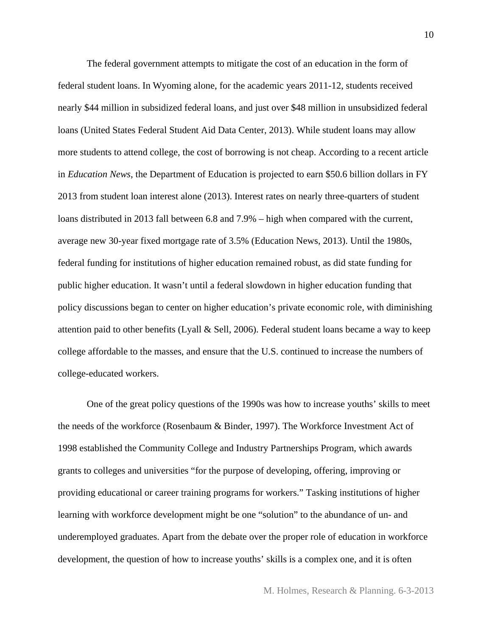The federal government attempts to mitigate the cost of an education in the form of federal student loans. In Wyoming alone, for the academic years 2011-12, students received nearly \$44 million in subsidized federal loans, and just over \$48 million in unsubsidized federal loans (United States Federal Student Aid Data Center, 2013). While student loans may allow more students to attend college, the cost of borrowing is not cheap. According to a recent article in *Education News*, the Department of Education is projected to earn \$50.6 billion dollars in FY 2013 from student loan interest alone (2013). Interest rates on nearly three-quarters of student loans distributed in 2013 fall between 6.8 and 7.9% – high when compared with the current, average new 30-year fixed mortgage rate of 3.5% (Education News, 2013). Until the 1980s, federal funding for institutions of higher education remained robust, as did state funding for public higher education. It wasn't until a federal slowdown in higher education funding that policy discussions began to center on higher education's private economic role, with diminishing attention paid to other benefits (Lyall & Sell, 2006). Federal student loans became a way to keep college affordable to the masses, and ensure that the U.S. continued to increase the numbers of college-educated workers.

 One of the great policy questions of the 1990s was how to increase youths' skills to meet the needs of the workforce (Rosenbaum & Binder, 1997). The Workforce Investment Act of 1998 established the Community College and Industry Partnerships Program, which awards grants to colleges and universities "for the purpose of developing, offering, improving or providing educational or career training programs for workers." Tasking institutions of higher learning with workforce development might be one "solution" to the abundance of un- and underemployed graduates. Apart from the debate over the proper role of education in workforce development, the question of how to increase youths' skills is a complex one, and it is often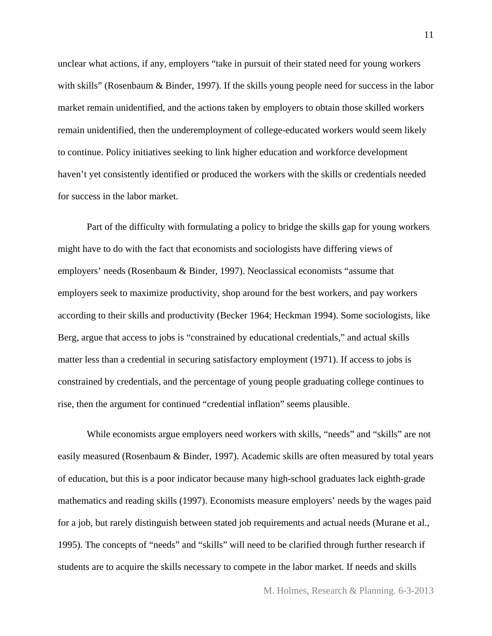unclear what actions, if any, employers "take in pursuit of their stated need for young workers with skills" (Rosenbaum & Binder, 1997). If the skills young people need for success in the labor market remain unidentified, and the actions taken by employers to obtain those skilled workers remain unidentified, then the underemployment of college-educated workers would seem likely to continue. Policy initiatives seeking to link higher education and workforce development haven't yet consistently identified or produced the workers with the skills or credentials needed for success in the labor market.

 Part of the difficulty with formulating a policy to bridge the skills gap for young workers might have to do with the fact that economists and sociologists have differing views of employers' needs (Rosenbaum & Binder, 1997). Neoclassical economists "assume that employers seek to maximize productivity, shop around for the best workers, and pay workers according to their skills and productivity (Becker 1964; Heckman 1994). Some sociologists, like Berg, argue that access to jobs is "constrained by educational credentials," and actual skills matter less than a credential in securing satisfactory employment (1971). If access to jobs is constrained by credentials, and the percentage of young people graduating college continues to rise, then the argument for continued "credential inflation" seems plausible.

 While economists argue employers need workers with skills, "needs" and "skills" are not easily measured (Rosenbaum & Binder, 1997). Academic skills are often measured by total years of education, but this is a poor indicator because many high-school graduates lack eighth-grade mathematics and reading skills (1997). Economists measure employers' needs by the wages paid for a job, but rarely distinguish between stated job requirements and actual needs (Murane et al., 1995). The concepts of "needs" and "skills" will need to be clarified through further research if students are to acquire the skills necessary to compete in the labor market. If needs and skills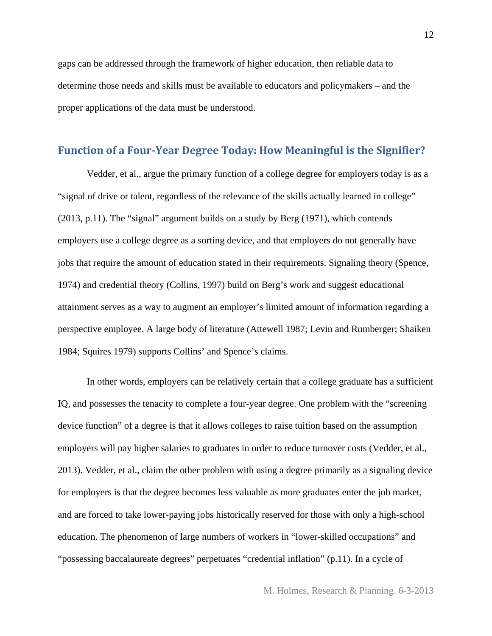gaps can be addressed through the framework of higher education, then reliable data to determine those needs and skills must be available to educators and policymakers – and the proper applications of the data must be understood.

#### **Function of a Four‐Year Degree Today: How Meaningful is the Signifier?**

Vedder, et al., argue the primary function of a college degree for employers today is as a "signal of drive or talent, regardless of the relevance of the skills actually learned in college" (2013, p.11). The "signal" argument builds on a study by Berg (1971), which contends employers use a college degree as a sorting device, and that employers do not generally have jobs that require the amount of education stated in their requirements. Signaling theory (Spence, 1974) and credential theory (Collins, 1997) build on Berg's work and suggest educational attainment serves as a way to augment an employer's limited amount of information regarding a perspective employee. A large body of literature (Attewell 1987; Levin and Rumberger; Shaiken 1984; Squires 1979) supports Collins' and Spence's claims.

 In other words, employers can be relatively certain that a college graduate has a sufficient IQ, and possesses the tenacity to complete a four-year degree. One problem with the "screening device function" of a degree is that it allows colleges to raise tuition based on the assumption employers will pay higher salaries to graduates in order to reduce turnover costs (Vedder, et al., 2013). Vedder, et al., claim the other problem with using a degree primarily as a signaling device for employers is that the degree becomes less valuable as more graduates enter the job market, and are forced to take lower-paying jobs historically reserved for those with only a high-school education. The phenomenon of large numbers of workers in "lower-skilled occupations" and "possessing baccalaureate degrees" perpetuates "credential inflation" (p.11). In a cycle of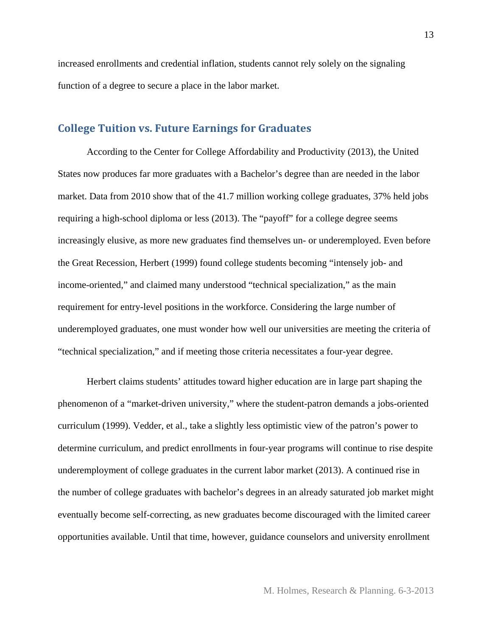increased enrollments and credential inflation, students cannot rely solely on the signaling function of a degree to secure a place in the labor market.

#### **College Tuition vs. Future Earnings for Graduates**

According to the Center for College Affordability and Productivity (2013), the United States now produces far more graduates with a Bachelor's degree than are needed in the labor market. Data from 2010 show that of the 41.7 million working college graduates, 37% held jobs requiring a high-school diploma or less (2013). The "payoff" for a college degree seems increasingly elusive, as more new graduates find themselves un- or underemployed. Even before the Great Recession, Herbert (1999) found college students becoming "intensely job- and income-oriented," and claimed many understood "technical specialization," as the main requirement for entry-level positions in the workforce. Considering the large number of underemployed graduates, one must wonder how well our universities are meeting the criteria of "technical specialization," and if meeting those criteria necessitates a four-year degree.

Herbert claims students' attitudes toward higher education are in large part shaping the phenomenon of a "market-driven university," where the student-patron demands a jobs-oriented curriculum (1999). Vedder, et al., take a slightly less optimistic view of the patron's power to determine curriculum, and predict enrollments in four-year programs will continue to rise despite underemployment of college graduates in the current labor market (2013). A continued rise in the number of college graduates with bachelor's degrees in an already saturated job market might eventually become self-correcting, as new graduates become discouraged with the limited career opportunities available. Until that time, however, guidance counselors and university enrollment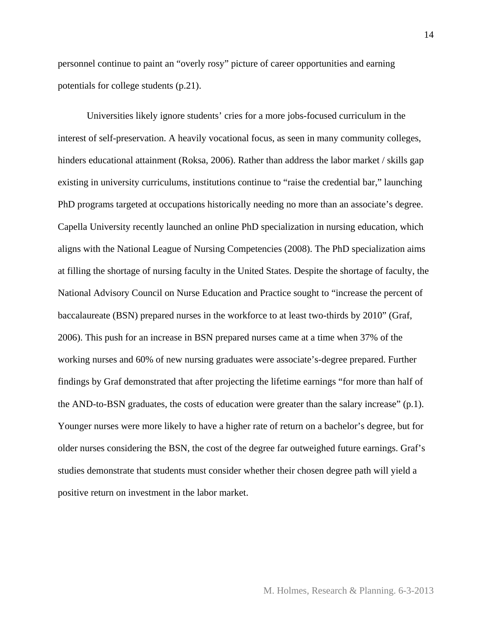personnel continue to paint an "overly rosy" picture of career opportunities and earning potentials for college students (p.21).

Universities likely ignore students' cries for a more jobs-focused curriculum in the interest of self-preservation. A heavily vocational focus, as seen in many community colleges, hinders educational attainment (Roksa, 2006). Rather than address the labor market / skills gap existing in university curriculums, institutions continue to "raise the credential bar," launching PhD programs targeted at occupations historically needing no more than an associate's degree. Capella University recently launched an online PhD specialization in nursing education, which aligns with the National League of Nursing Competencies (2008). The PhD specialization aims at filling the shortage of nursing faculty in the United States. Despite the shortage of faculty, the National Advisory Council on Nurse Education and Practice sought to "increase the percent of baccalaureate (BSN) prepared nurses in the workforce to at least two-thirds by 2010" (Graf, 2006). This push for an increase in BSN prepared nurses came at a time when 37% of the working nurses and 60% of new nursing graduates were associate's-degree prepared. Further findings by Graf demonstrated that after projecting the lifetime earnings "for more than half of the AND-to-BSN graduates, the costs of education were greater than the salary increase" (p.1). Younger nurses were more likely to have a higher rate of return on a bachelor's degree, but for older nurses considering the BSN, the cost of the degree far outweighed future earnings. Graf's studies demonstrate that students must consider whether their chosen degree path will yield a positive return on investment in the labor market.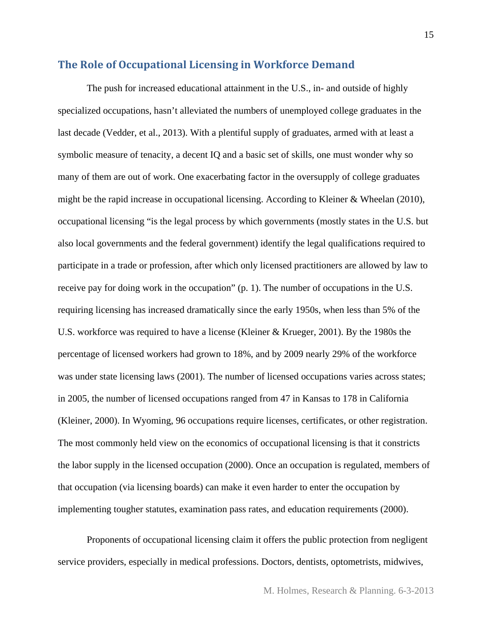#### **The Role of Occupational Licensing in Workforce Demand**

The push for increased educational attainment in the U.S., in- and outside of highly specialized occupations, hasn't alleviated the numbers of unemployed college graduates in the last decade (Vedder, et al., 2013). With a plentiful supply of graduates, armed with at least a symbolic measure of tenacity, a decent IQ and a basic set of skills, one must wonder why so many of them are out of work. One exacerbating factor in the oversupply of college graduates might be the rapid increase in occupational licensing. According to Kleiner & Wheelan (2010), occupational licensing "is the legal process by which governments (mostly states in the U.S. but also local governments and the federal government) identify the legal qualifications required to participate in a trade or profession, after which only licensed practitioners are allowed by law to receive pay for doing work in the occupation" (p. 1). The number of occupations in the U.S. requiring licensing has increased dramatically since the early 1950s, when less than 5% of the U.S. workforce was required to have a license (Kleiner & Krueger, 2001). By the 1980s the percentage of licensed workers had grown to 18%, and by 2009 nearly 29% of the workforce was under state licensing laws (2001). The number of licensed occupations varies across states; in 2005, the number of licensed occupations ranged from 47 in Kansas to 178 in California (Kleiner, 2000). In Wyoming, 96 occupations require licenses, certificates, or other registration. The most commonly held view on the economics of occupational licensing is that it constricts the labor supply in the licensed occupation (2000). Once an occupation is regulated, members of that occupation (via licensing boards) can make it even harder to enter the occupation by implementing tougher statutes, examination pass rates, and education requirements (2000).

Proponents of occupational licensing claim it offers the public protection from negligent service providers, especially in medical professions. Doctors, dentists, optometrists, midwives,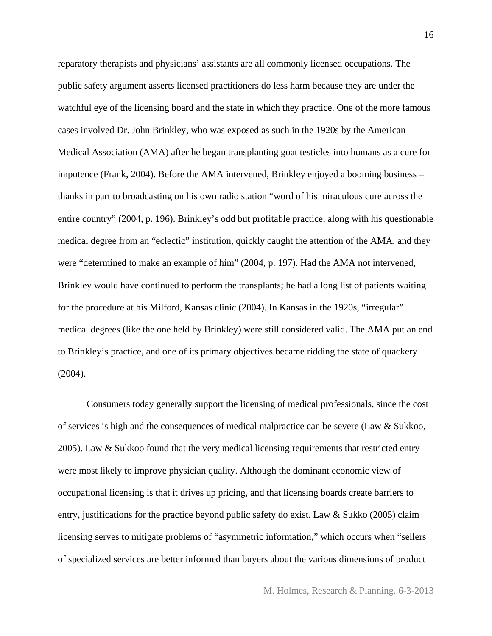reparatory therapists and physicians' assistants are all commonly licensed occupations. The public safety argument asserts licensed practitioners do less harm because they are under the watchful eye of the licensing board and the state in which they practice. One of the more famous cases involved Dr. John Brinkley, who was exposed as such in the 1920s by the American Medical Association (AMA) after he began transplanting goat testicles into humans as a cure for impotence (Frank, 2004). Before the AMA intervened, Brinkley enjoyed a booming business – thanks in part to broadcasting on his own radio station "word of his miraculous cure across the entire country" (2004, p. 196). Brinkley's odd but profitable practice, along with his questionable medical degree from an "eclectic" institution, quickly caught the attention of the AMA, and they were "determined to make an example of him" (2004, p. 197). Had the AMA not intervened, Brinkley would have continued to perform the transplants; he had a long list of patients waiting for the procedure at his Milford, Kansas clinic (2004). In Kansas in the 1920s, "irregular" medical degrees (like the one held by Brinkley) were still considered valid. The AMA put an end to Brinkley's practice, and one of its primary objectives became ridding the state of quackery (2004).

Consumers today generally support the licensing of medical professionals, since the cost of services is high and the consequences of medical malpractice can be severe (Law & Sukkoo, 2005). Law & Sukkoo found that the very medical licensing requirements that restricted entry were most likely to improve physician quality. Although the dominant economic view of occupational licensing is that it drives up pricing, and that licensing boards create barriers to entry, justifications for the practice beyond public safety do exist. Law & Sukko (2005) claim licensing serves to mitigate problems of "asymmetric information," which occurs when "sellers of specialized services are better informed than buyers about the various dimensions of product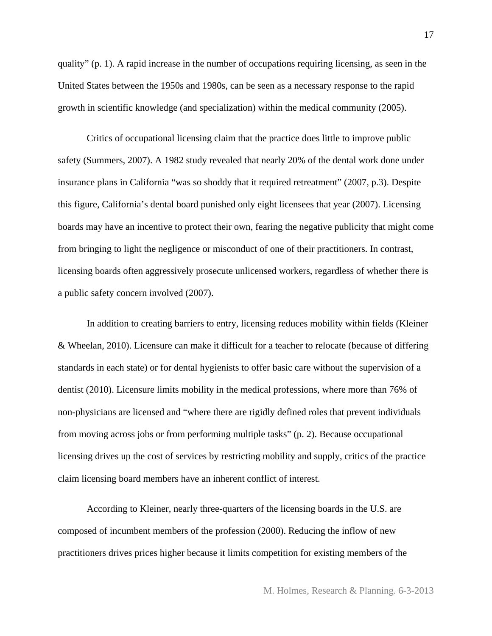quality" (p. 1). A rapid increase in the number of occupations requiring licensing, as seen in the United States between the 1950s and 1980s, can be seen as a necessary response to the rapid growth in scientific knowledge (and specialization) within the medical community (2005).

Critics of occupational licensing claim that the practice does little to improve public safety (Summers, 2007). A 1982 study revealed that nearly 20% of the dental work done under insurance plans in California "was so shoddy that it required retreatment" (2007, p.3). Despite this figure, California's dental board punished only eight licensees that year (2007). Licensing boards may have an incentive to protect their own, fearing the negative publicity that might come from bringing to light the negligence or misconduct of one of their practitioners. In contrast, licensing boards often aggressively prosecute unlicensed workers, regardless of whether there is a public safety concern involved (2007).

In addition to creating barriers to entry, licensing reduces mobility within fields (Kleiner & Wheelan, 2010). Licensure can make it difficult for a teacher to relocate (because of differing standards in each state) or for dental hygienists to offer basic care without the supervision of a dentist (2010). Licensure limits mobility in the medical professions, where more than 76% of non-physicians are licensed and "where there are rigidly defined roles that prevent individuals from moving across jobs or from performing multiple tasks" (p. 2). Because occupational licensing drives up the cost of services by restricting mobility and supply, critics of the practice claim licensing board members have an inherent conflict of interest.

According to Kleiner, nearly three-quarters of the licensing boards in the U.S. are composed of incumbent members of the profession (2000). Reducing the inflow of new practitioners drives prices higher because it limits competition for existing members of the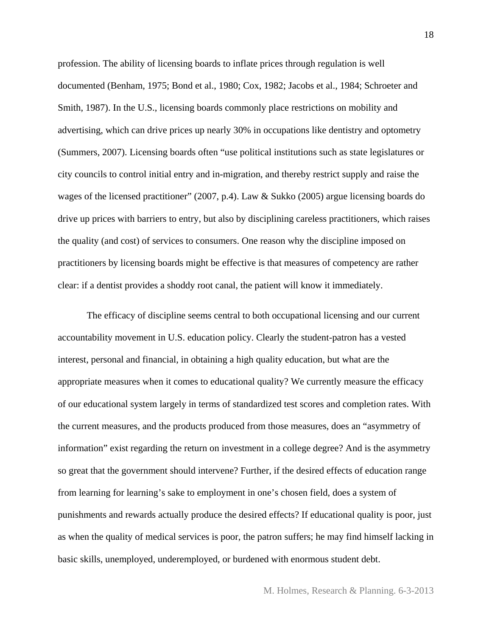profession. The ability of licensing boards to inflate prices through regulation is well documented (Benham, 1975; Bond et al., 1980; Cox, 1982; Jacobs et al., 1984; Schroeter and Smith, 1987). In the U.S., licensing boards commonly place restrictions on mobility and advertising, which can drive prices up nearly 30% in occupations like dentistry and optometry (Summers, 2007). Licensing boards often "use political institutions such as state legislatures or city councils to control initial entry and in-migration, and thereby restrict supply and raise the wages of the licensed practitioner" (2007, p.4). Law & Sukko (2005) argue licensing boards do drive up prices with barriers to entry, but also by disciplining careless practitioners, which raises the quality (and cost) of services to consumers. One reason why the discipline imposed on practitioners by licensing boards might be effective is that measures of competency are rather clear: if a dentist provides a shoddy root canal, the patient will know it immediately.

The efficacy of discipline seems central to both occupational licensing and our current accountability movement in U.S. education policy. Clearly the student-patron has a vested interest, personal and financial, in obtaining a high quality education, but what are the appropriate measures when it comes to educational quality? We currently measure the efficacy of our educational system largely in terms of standardized test scores and completion rates. With the current measures, and the products produced from those measures, does an "asymmetry of information" exist regarding the return on investment in a college degree? And is the asymmetry so great that the government should intervene? Further, if the desired effects of education range from learning for learning's sake to employment in one's chosen field, does a system of punishments and rewards actually produce the desired effects? If educational quality is poor, just as when the quality of medical services is poor, the patron suffers; he may find himself lacking in basic skills, unemployed, underemployed, or burdened with enormous student debt.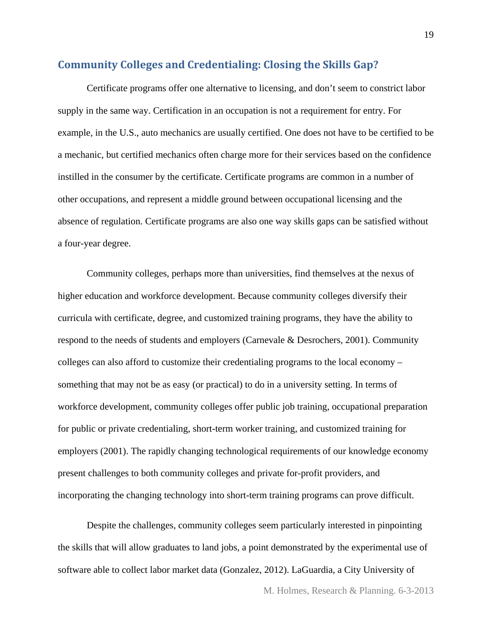#### **Community Colleges and Credentialing: Closing the Skills Gap?**

Certificate programs offer one alternative to licensing, and don't seem to constrict labor supply in the same way. Certification in an occupation is not a requirement for entry. For example, in the U.S., auto mechanics are usually certified. One does not have to be certified to be a mechanic, but certified mechanics often charge more for their services based on the confidence instilled in the consumer by the certificate. Certificate programs are common in a number of other occupations, and represent a middle ground between occupational licensing and the absence of regulation. Certificate programs are also one way skills gaps can be satisfied without a four-year degree.

Community colleges, perhaps more than universities, find themselves at the nexus of higher education and workforce development. Because community colleges diversify their curricula with certificate, degree, and customized training programs, they have the ability to respond to the needs of students and employers (Carnevale & Desrochers, 2001). Community colleges can also afford to customize their credentialing programs to the local economy – something that may not be as easy (or practical) to do in a university setting. In terms of workforce development, community colleges offer public job training, occupational preparation for public or private credentialing, short-term worker training, and customized training for employers (2001). The rapidly changing technological requirements of our knowledge economy present challenges to both community colleges and private for-profit providers, and incorporating the changing technology into short-term training programs can prove difficult.

Despite the challenges, community colleges seem particularly interested in pinpointing the skills that will allow graduates to land jobs, a point demonstrated by the experimental use of software able to collect labor market data (Gonzalez, 2012). LaGuardia, a City University of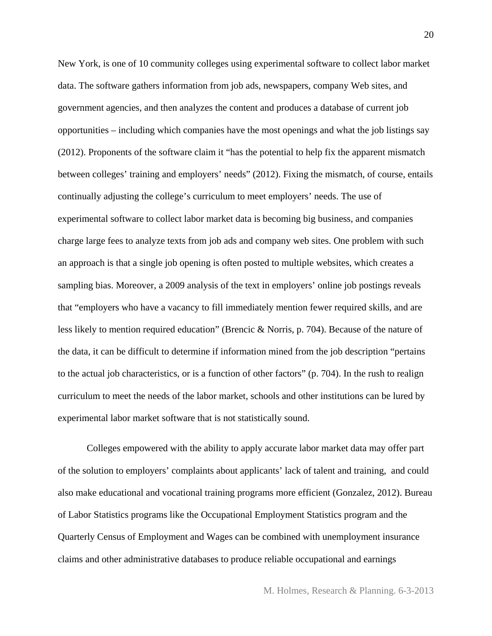New York, is one of 10 community colleges using experimental software to collect labor market data. The software gathers information from job ads, newspapers, company Web sites, and government agencies, and then analyzes the content and produces a database of current job opportunities – including which companies have the most openings and what the job listings say (2012). Proponents of the software claim it "has the potential to help fix the apparent mismatch between colleges' training and employers' needs" (2012). Fixing the mismatch, of course, entails continually adjusting the college's curriculum to meet employers' needs. The use of experimental software to collect labor market data is becoming big business, and companies charge large fees to analyze texts from job ads and company web sites. One problem with such an approach is that a single job opening is often posted to multiple websites, which creates a sampling bias. Moreover, a 2009 analysis of the text in employers' online job postings reveals that "employers who have a vacancy to fill immediately mention fewer required skills, and are less likely to mention required education" (Brencic & Norris, p. 704). Because of the nature of the data, it can be difficult to determine if information mined from the job description "pertains to the actual job characteristics, or is a function of other factors" (p. 704). In the rush to realign curriculum to meet the needs of the labor market, schools and other institutions can be lured by experimental labor market software that is not statistically sound.

Colleges empowered with the ability to apply accurate labor market data may offer part of the solution to employers' complaints about applicants' lack of talent and training, and could also make educational and vocational training programs more efficient (Gonzalez, 2012). Bureau of Labor Statistics programs like the Occupational Employment Statistics program and the Quarterly Census of Employment and Wages can be combined with unemployment insurance claims and other administrative databases to produce reliable occupational and earnings

M. Holmes, Research & Planning. 6-3-2013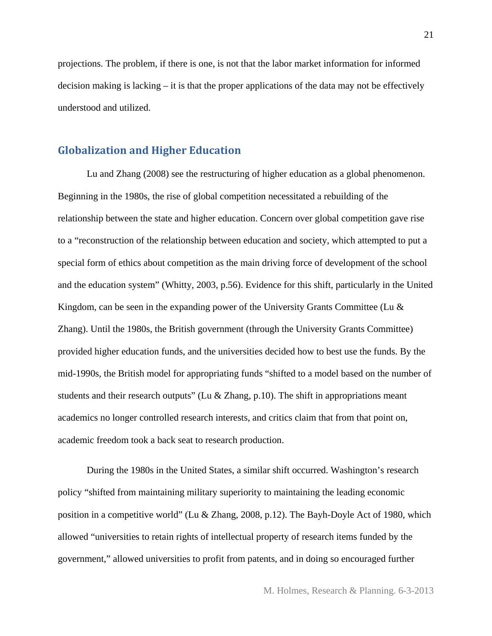projections. The problem, if there is one, is not that the labor market information for informed decision making is lacking  $-$  it is that the proper applications of the data may not be effectively understood and utilized.

#### **Globalization and Higher Education**

 Lu and Zhang (2008) see the restructuring of higher education as a global phenomenon. Beginning in the 1980s, the rise of global competition necessitated a rebuilding of the relationship between the state and higher education. Concern over global competition gave rise to a "reconstruction of the relationship between education and society, which attempted to put a special form of ethics about competition as the main driving force of development of the school and the education system" (Whitty, 2003, p.56). Evidence for this shift, particularly in the United Kingdom, can be seen in the expanding power of the University Grants Committee (Lu  $\&$ Zhang). Until the 1980s, the British government (through the University Grants Committee) provided higher education funds, and the universities decided how to best use the funds. By the mid-1990s, the British model for appropriating funds "shifted to a model based on the number of students and their research outputs" (Lu & Zhang, p.10). The shift in appropriations meant academics no longer controlled research interests, and critics claim that from that point on, academic freedom took a back seat to research production.

 During the 1980s in the United States, a similar shift occurred. Washington's research policy "shifted from maintaining military superiority to maintaining the leading economic position in a competitive world" (Lu & Zhang, 2008, p.12). The Bayh-Doyle Act of 1980, which allowed "universities to retain rights of intellectual property of research items funded by the government," allowed universities to profit from patents, and in doing so encouraged further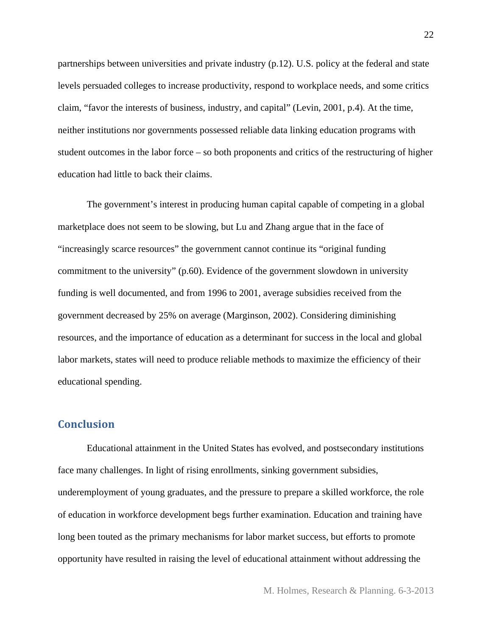partnerships between universities and private industry (p.12). U.S. policy at the federal and state levels persuaded colleges to increase productivity, respond to workplace needs, and some critics claim, "favor the interests of business, industry, and capital" (Levin, 2001, p.4). At the time, neither institutions nor governments possessed reliable data linking education programs with student outcomes in the labor force – so both proponents and critics of the restructuring of higher education had little to back their claims.

 The government's interest in producing human capital capable of competing in a global marketplace does not seem to be slowing, but Lu and Zhang argue that in the face of "increasingly scarce resources" the government cannot continue its "original funding commitment to the university" (p.60). Evidence of the government slowdown in university funding is well documented, and from 1996 to 2001, average subsidies received from the government decreased by 25% on average (Marginson, 2002). Considering diminishing resources, and the importance of education as a determinant for success in the local and global labor markets, states will need to produce reliable methods to maximize the efficiency of their educational spending.

#### **Conclusion**

Educational attainment in the United States has evolved, and postsecondary institutions face many challenges. In light of rising enrollments, sinking government subsidies, underemployment of young graduates, and the pressure to prepare a skilled workforce, the role of education in workforce development begs further examination. Education and training have long been touted as the primary mechanisms for labor market success, but efforts to promote opportunity have resulted in raising the level of educational attainment without addressing the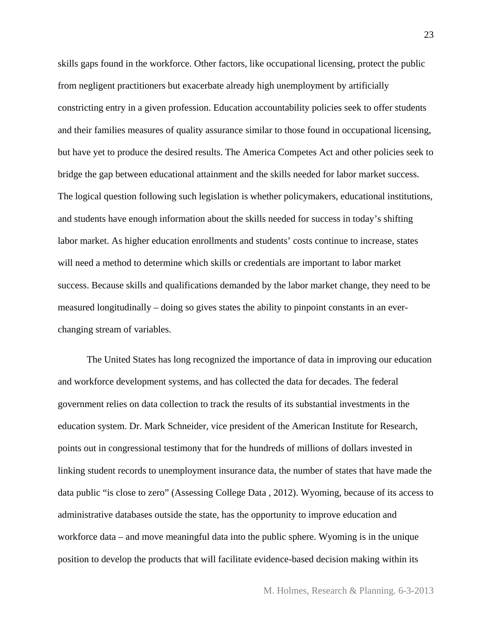skills gaps found in the workforce. Other factors, like occupational licensing, protect the public from negligent practitioners but exacerbate already high unemployment by artificially constricting entry in a given profession. Education accountability policies seek to offer students and their families measures of quality assurance similar to those found in occupational licensing, but have yet to produce the desired results. The America Competes Act and other policies seek to bridge the gap between educational attainment and the skills needed for labor market success. The logical question following such legislation is whether policymakers, educational institutions, and students have enough information about the skills needed for success in today's shifting labor market. As higher education enrollments and students' costs continue to increase, states will need a method to determine which skills or credentials are important to labor market success. Because skills and qualifications demanded by the labor market change, they need to be measured longitudinally – doing so gives states the ability to pinpoint constants in an everchanging stream of variables.

The United States has long recognized the importance of data in improving our education and workforce development systems, and has collected the data for decades. The federal government relies on data collection to track the results of its substantial investments in the education system. Dr. Mark Schneider, vice president of the American Institute for Research, points out in congressional testimony that for the hundreds of millions of dollars invested in linking student records to unemployment insurance data, the number of states that have made the data public "is close to zero" (Assessing College Data , 2012). Wyoming, because of its access to administrative databases outside the state, has the opportunity to improve education and workforce data – and move meaningful data into the public sphere. Wyoming is in the unique position to develop the products that will facilitate evidence-based decision making within its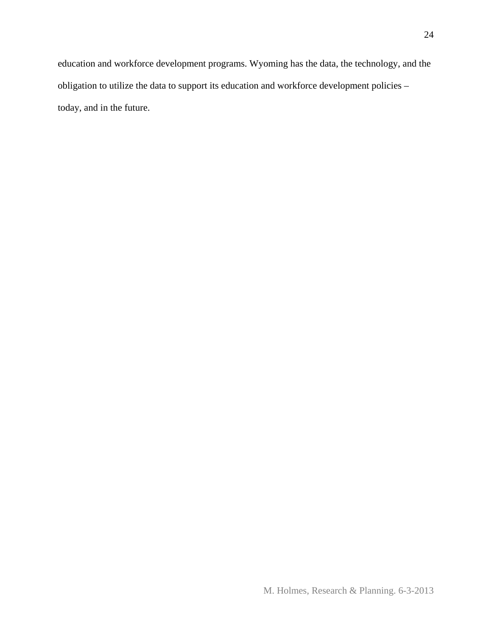education and workforce development programs. Wyoming has the data, the technology, and the obligation to utilize the data to support its education and workforce development policies – today, and in the future.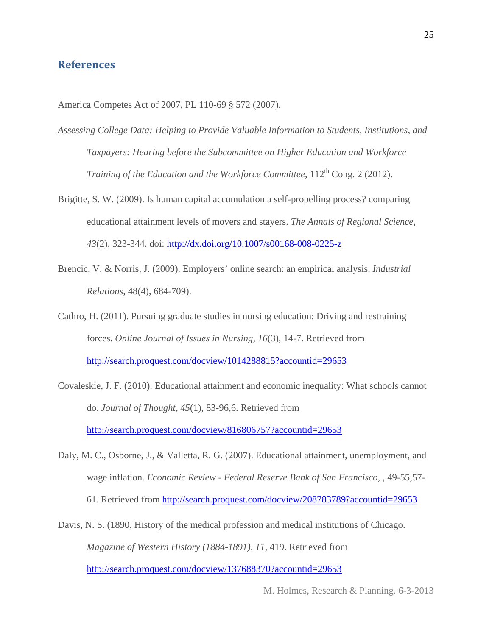#### **References**

America Competes Act of 2007, PL 110-69 § 572 (2007).

- *Assessing College Data: Helping to Provide Valuable Information to Students, Institutions, and Taxpayers: Hearing before the Subcommittee on Higher Education and Workforce Training of the Education and the Workforce Committee*,  $112<sup>th</sup>$  Cong. 2 (2012).
- Brigitte, S. W. (2009). Is human capital accumulation a self-propelling process? comparing educational attainment levels of movers and stayers. *The Annals of Regional Science, 43*(2), 323-344. doi: http://dx.doi.org/10.1007/s00168-008-0225-z
- Brencic, V. & Norris, J. (2009). Employers' online search: an empirical analysis. *Industrial Relations*, 48(4), 684-709).
- Cathro, H. (2011). Pursuing graduate studies in nursing education: Driving and restraining forces. *Online Journal of Issues in Nursing, 16*(3), 14-7. Retrieved from http://search.proquest.com/docview/1014288815?accountid=29653
- Covaleskie, J. F. (2010). Educational attainment and economic inequality: What schools cannot do. *Journal of Thought, 45*(1), 83-96,6. Retrieved from http://search.proquest.com/docview/816806757?accountid=29653
- Daly, M. C., Osborne, J., & Valletta, R. G. (2007). Educational attainment, unemployment, and wage inflation. *Economic Review - Federal Reserve Bank of San Francisco,* , 49-55,57- 61. Retrieved from http://search.proquest.com/docview/208783789?accountid=29653

Davis, N. S. (1890, History of the medical profession and medical institutions of Chicago. *Magazine of Western History (1884-1891), 11*, 419. Retrieved from http://search.proquest.com/docview/137688370?accountid=29653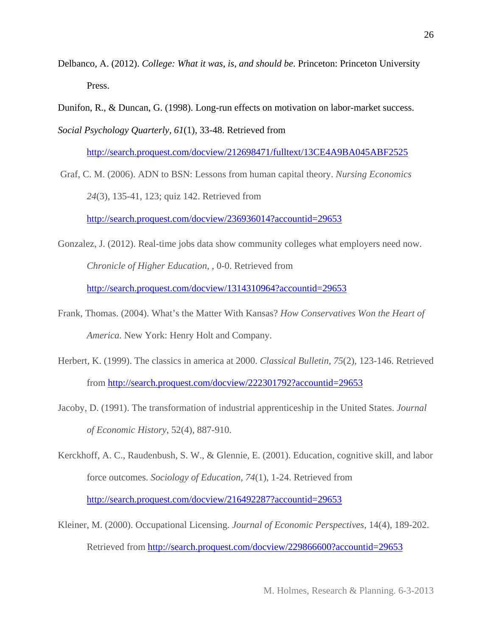- Delbanco, A. (2012). *College: What it was, is, and should be*. Princeton: Princeton University Press.
- Dunifon, R., & Duncan, G. (1998). Long-run effects on motivation on labor-market success.

*Social Psychology Quarterly, 61*(1), 33-48. Retrieved from

http://search.proquest.com/docview/212698471/fulltext/13CE4A9BA045ABF2525

 Graf, C. M. (2006). ADN to BSN: Lessons from human capital theory. *Nursing Economics 24*(3), 135-41, 123; quiz 142. Retrieved from http://search.proquest.com/docview/236936014?accountid=29653

- Gonzalez, J. (2012). Real-time jobs data show community colleges what employers need now. *Chronicle of Higher Education,* , 0-0. Retrieved from http://search.proquest.com/docview/1314310964?accountid=29653
- Frank, Thomas. (2004). What's the Matter With Kansas? *How Conservatives Won the Heart of America.* New York: Henry Holt and Company.
- Herbert, K. (1999). The classics in america at 2000. *Classical Bulletin, 75*(2), 123-146. Retrieved from http://search.proquest.com/docview/222301792?accountid=29653
- Jacoby, D. (1991). The transformation of industrial apprenticeship in the United States. *Journal of Economic History*, 52(4), 887-910.

Kerckhoff, A. C., Raudenbush, S. W., & Glennie, E. (2001). Education, cognitive skill, and labor force outcomes. *Sociology of Education, 74*(1), 1-24. Retrieved from http://search.proquest.com/docview/216492287?accountid=29653

Kleiner, M. (2000). Occupational Licensing. *Journal of Economic Perspectives*, 14(4), 189-202. Retrieved from http://search.proquest.com/docview/229866600?accountid=29653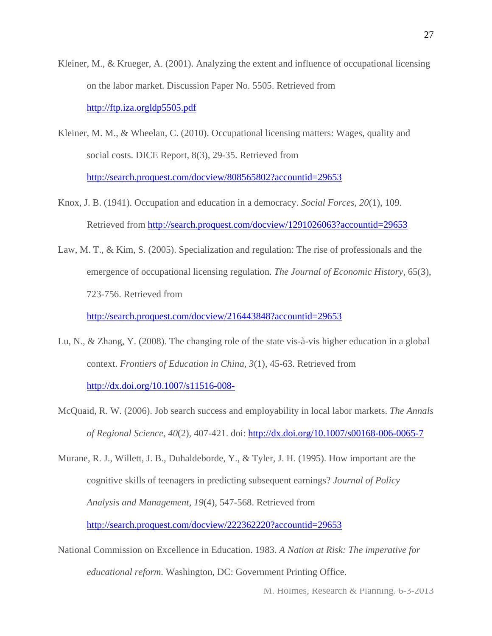- Kleiner, M., & Krueger, A. (2001). Analyzing the extent and influence of occupational licensing on the labor market. Discussion Paper No. 5505. Retrieved from http://ftp.iza.orgldp5505.pdf
- Kleiner, M. M., & Wheelan, C. (2010). Occupational licensing matters: Wages, quality and social costs. DICE Report, 8(3), 29-35. Retrieved from http://search.proquest.com/docview/808565802?accountid=29653
- Knox, J. B. (1941). Occupation and education in a democracy. *Social Forces, 20*(1), 109. Retrieved from http://search.proquest.com/docview/1291026063?accountid=29653
- Law, M. T., & Kim, S. (2005). Specialization and regulation: The rise of professionals and the emergence of occupational licensing regulation. *The Journal of Economic History*, 65(3), 723-756. Retrieved from

http://search.proquest.com/docview/216443848?accountid=29653

- Lu, N., & Zhang, Y. (2008). The changing role of the state vis-à-vis higher education in a global context. *Frontiers of Education in China, 3*(1), 45-63. Retrieved from http://dx.doi.org/10.1007/s11516-008-
- McQuaid, R. W. (2006). Job search success and employability in local labor markets. *The Annals of Regional Science, 40*(2), 407-421. doi: http://dx.doi.org/10.1007/s00168-006-0065-7
- Murane, R. J., Willett, J. B., Duhaldeborde, Y., & Tyler, J. H. (1995). How important are the cognitive skills of teenagers in predicting subsequent earnings? *Journal of Policy Analysis and Management, 19*(4), 547-568. Retrieved from http://search.proquest.com/docview/222362220?accountid=29653
- National Commission on Excellence in Education. 1983. *A Nation at Risk: The imperative for educational reform*. Washington, DC: Government Printing Office.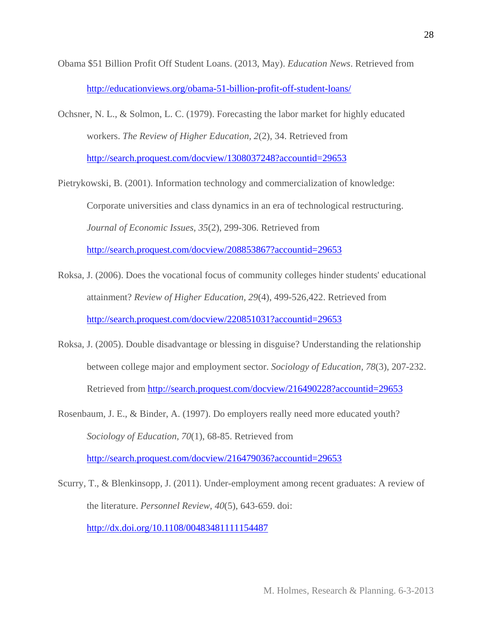- Obama \$51 Billion Profit Off Student Loans. (2013, May). *Education News*. Retrieved from http://educationviews.org/obama-51-billion-profit-off-student-loans/
- Ochsner, N. L., & Solmon, L. C. (1979). Forecasting the labor market for highly educated workers. *The Review of Higher Education, 2*(2), 34. Retrieved from http://search.proquest.com/docview/1308037248?accountid=29653
- Pietrykowski, B. (2001). Information technology and commercialization of knowledge: Corporate universities and class dynamics in an era of technological restructuring. *Journal of Economic Issues, 35*(2), 299-306. Retrieved from http://search.proquest.com/docview/208853867?accountid=29653
- Roksa, J. (2006). Does the vocational focus of community colleges hinder students' educational attainment? *Review of Higher Education, 29*(4), 499-526,422. Retrieved from http://search.proquest.com/docview/220851031?accountid=29653
- Roksa, J. (2005). Double disadvantage or blessing in disguise? Understanding the relationship between college major and employment sector. *Sociology of Education, 78*(3), 207-232. Retrieved from http://search.proquest.com/docview/216490228?accountid=29653
- Rosenbaum, J. E., & Binder, A. (1997). Do employers really need more educated youth? *Sociology of Education, 70*(1), 68-85. Retrieved from http://search.proquest.com/docview/216479036?accountid=29653
- Scurry, T., & Blenkinsopp, J. (2011). Under-employment among recent graduates: A review of the literature. *Personnel Review, 40*(5), 643-659. doi: http://dx.doi.org/10.1108/00483481111154487